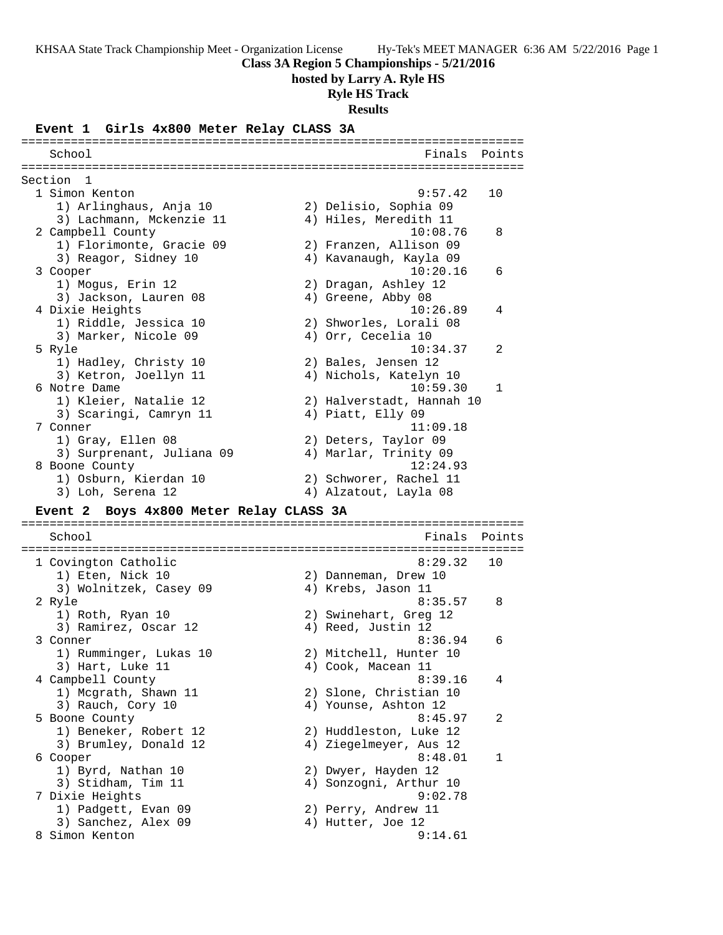**Class 3A Region 5 Championships - 5/21/2016**

**hosted by Larry A. Ryle HS**

**Ryle HS Track**

**Results**

#### **Event 1 Girls 4x800 Meter Relay CLASS 3A**

======================================================================= School **Finals** Points ======================================================================= Section 1<br>1 Simon Kenton 1 Simon Kenton 9:57.42 10 1) Arlinghaus, Anja 10 2) Delisio, Sophia 09 3) Lachmann, Mckenzie 11 4) Hiles, Meredith 11 2 Campbell County 10:08.76 8 1) Florimonte, Gracie 09 2) Franzen, Allison 09 3) Reagor, Sidney 10 4) Kavanaugh, Kayla 09 3 Cooper 10:20.16 6 1) Mogus, Erin 12 2) Dragan, Ashley 12 3) Jackson, Lauren 08 (4) Greene, Abby 08 4 Dixie Heights 10:26.89 4 1) Riddle, Jessica 10 2) Shworles, Lorali 08 3) Marker, Nicole 09 (4) Orr, Cecelia 10 5 Ryle 10:34.37 2 1) Hadley, Christy 10 2) Bales, Jensen 12 3) Ketron, Joellyn 11 4) Nichols, Katelyn 10 6 Notre Dame 10:59.30 1 1) Kleier, Natalie 12 2) Halverstadt, Hannah 10 3) Scaringi, Camryn 11 (4) Piatt, Elly 09 7 Conner 11:09.18 1) Gray, Ellen 08 2) Deters, Taylor 09 3) Surprenant, Juliana 09 4) Marlar, Trinity 09 8 Boone County 12:24.93 1) Osburn, Kierdan 10 2) Schworer, Rachel 11 3) Loh, Serena 12 4) Alzatout, Layla 08 **Event 2 Boys 4x800 Meter Relay CLASS 3A** ======================================================================= School **Finals Points** ======================================================================= 1 Covington Catholic 8:29.32 10<br>1) Eten, Nick 10 2) Danneman, Drew 10 1) Eten, Nick 10 2) Danneman, Drew 10 3) Wolnitzek, Casey 09  $\hskip1cm 4$ ) Krebs, Jason 11 2 Ryle 8:35.57 8 1) Roth, Ryan 10 2) Swinehart, Greg 12 3) Ramirez, Oscar 12 (4) Reed, Justin 12 3 Conner 8:36.94 6 1) Rumminger, Lukas 10 2) Mitchell, Hunter 10 3) Hart, Luke 11 (4) Cook, Macean 11 4 Campbell County 8:39.16 4 1) Mcgrath, Shawn 11 2) Slone, Christian 10 3) Rauch, Cory 10  $\hskip1cm \hskip1cm 4$ ) Younse, Ashton 12 5 Boone County **8:45.97** 2 1) Beneker, Robert 12 2) Huddleston, Luke 12 3) Brumley, Donald 12 4) Ziegelmeyer, Aus 12 6 Cooper 8:48.01 1 1) Byrd, Nathan 10 2) Dwyer, Hayden 12 3) Stidham, Tim 11 4) Sonzogni, Arthur 10 7 Dixie Heights 9:02.78 1) Padgett, Evan 09 2) Perry, Andrew 11 3) Sanchez, Alex 09 (4) Hutter, Joe 12 8 Simon Kenton 9:14.61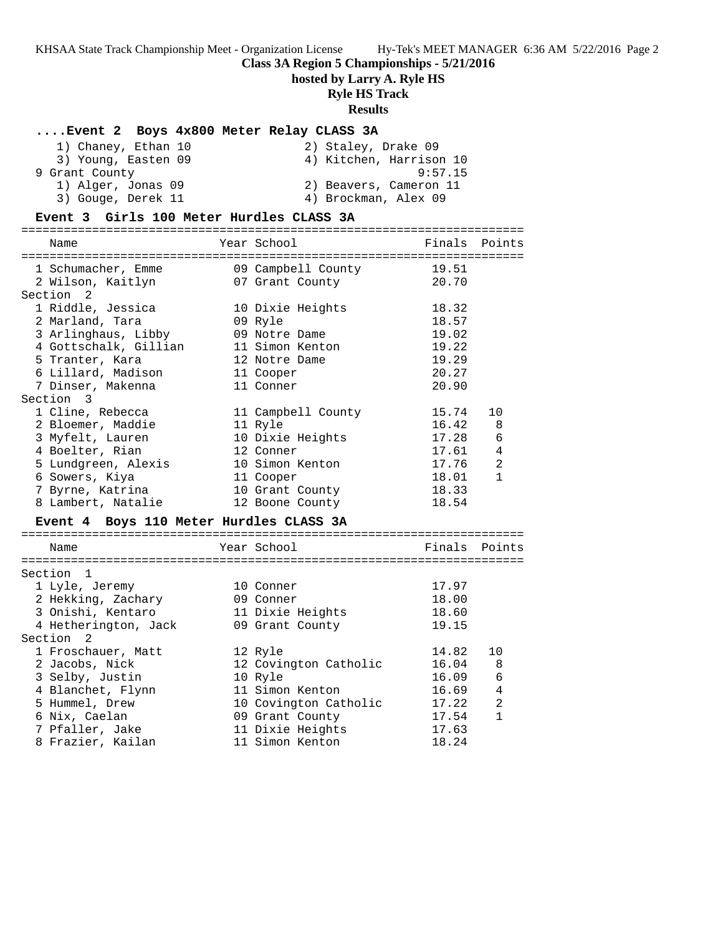### **Class 3A Region 5 Championships - 5/21/2016**

**hosted by Larry A. Ryle HS**

# **Ryle HS Track**

### **Results**

### **....Event 2 Boys 4x800 Meter Relay CLASS 3A**

| 1) Chaney, Ethan 10 | 2) Staley, Drake 09     |
|---------------------|-------------------------|
| 3) Young, Easten 09 | 4) Kitchen, Harrison 10 |
| 9 Grant County      | 9:57.15                 |
| 1) Alger, Jonas 09  | 2) Beavers, Cameron 11  |
| 3) Gouge, Derek 11  | 4) Brockman, Alex 09    |

### **Event 3 Girls 100 Meter Hurdles CLASS 3A**

| Name                                    | Year School              | Finals | Points         |
|-----------------------------------------|--------------------------|--------|----------------|
|                                         |                          |        |                |
| 1 Schumacher, Emme                      | 09 Campbell County 19.51 |        |                |
| 2 Wilson, Kaitlyn                       | 07 Grant County          | 20.70  |                |
| Section <sub>2</sub>                    |                          |        |                |
| 1 Riddle, Jessica                       | 10 Dixie Heights         | 18.32  |                |
| 2 Marland, Tara                         | 09 Ryle                  | 18.57  |                |
| 3 Arlinghaus, Libby                     | 09 Notre Dame            | 19.02  |                |
| 4 Gottschalk, Gillian                   | 11 Simon Kenton          | 19.22  |                |
| 5 Tranter, Kara                         | 12 Notre Dame            | 19.29  |                |
| 6 Lillard, Madison                      | 11 Cooper                | 20.27  |                |
| 7 Dinser, Makenna                       | 11 Conner                | 20.90  |                |
| Section 3                               |                          |        |                |
| 1 Cline, Rebecca                        | 11 Campbell County       | 15.74  | 10             |
| 2 Bloemer, Maddie                       | 11 Ryle                  | 16.42  | 8              |
| 3 Myfelt, Lauren                        | 10 Dixie Heights         | 17.28  | 6              |
| 4 Boelter, Rian                         | 12 Conner                | 17.61  | $\overline{4}$ |
| 5 Lundgreen, Alexis                     | 10 Simon Kenton          | 17.76  | $\overline{a}$ |
| 6 Sowers, Kiya                          | 11 Cooper                | 18.01  | $\mathbf{1}$   |
| 7 Byrne, Katrina                        | 10 Grant County          | 18.33  |                |
| 8 Lambert, Natalie                      | 12 Boone County          | 18.54  |                |
| Event 4 Boys 110 Meter Hurdles CLASS 3A |                          |        |                |
|                                         |                          |        |                |
| Name                                    | Year School              | Finals | Points         |
| Section 1                               |                          |        |                |
| 1 Lyle, Jeremy                          | 10 Conner                | 17.97  |                |
| 2 Hekking, Zachary                      | 09 Conner                | 18.00  |                |
| 3 Onishi, Kentaro                       | 11 Dixie Heights         | 18.60  |                |
| 4 Hetherington, Jack                    | 09 Grant County          | 19.15  |                |
| Section <sub>2</sub>                    |                          |        |                |
| 1 Froschauer, Matt                      | 12 Ryle                  | 14.82  | 10             |
| 2 Jacobs, Nick                          | 12 Covington Catholic    | 16.04  | 8              |
| 3 Selby, Justin                         | 10 Ryle                  | 16.09  | $\epsilon$     |
| 4 Blanchet, Flynn                       | 11 Simon Kenton          | 16.69  | $\overline{4}$ |
| 5 Hummel, Drew                          | 10 Covington Catholic    | 17.22  | $\overline{2}$ |
| 6 Nix, Caelan                           | 09 Grant County          | 17.54  | $\mathbf{1}$   |
| 7 Pfaller, Jake                         | 11 Dixie Heights         | 17.63  |                |
|                                         |                          |        |                |

8 Frazier, Kailan 11 Simon Kenton 18.24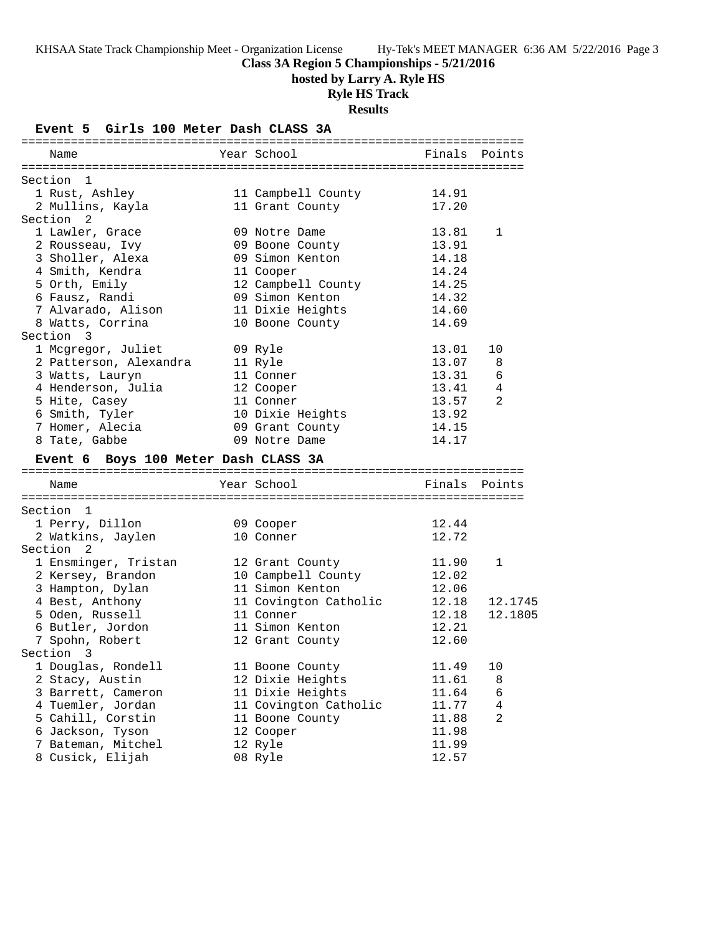**Class 3A Region 5 Championships - 5/21/2016**

**hosted by Larry A. Ryle HS**

### **Ryle HS Track**

**Results**

**Event 5 Girls 100 Meter Dash CLASS 3A** ======================================================================= Name The School Team School (Finals Points ======================================================================= Section 1 1 Rust, Ashley 11 Campbell County 14.91 2 Mullins, Kayla 11 Grant County 17.20 Section 2 1 Lawler, Grace 09 Notre Dame 13.81 1 2 Rousseau, Ivy 09 Boone County 13.91 3 Sholler, Alexa 09 Simon Kenton 14.18 4 Smith, Kendra 11 Cooper 14.24 5 Orth, Emily 12 Campbell County 14.25 6 Fausz, Randi 09 Simon Kenton 14.32 7 Alvarado, Alison 11 Dixie Heights 14.60 8 Watts, Corrina 10 Boone County 14.69 Section 3 1 Mcgregor, Juliet 109 Ryle 13.01 10 2 Patterson, Alexandra 11 Ryle 13.07 8 3 Watts, Lauryn 11 Conner 13.31 6 4 Henderson, Julia 12 Cooper 13.41 4 5 Hite, Casey 11 Conner 13.57 2 6 Smith, Tyler 10 Dixie Heights 13.92 7 Homer, Alecia 09 Grant County 14.15 8 Tate, Gabbe 6 14.17 **Event 6 Boys 100 Meter Dash CLASS 3A** ======================================================================= Year School **Finals** Points ======================================================================= Section 1 1 Perry, Dillon 09 Cooper 12.44 2 Watkins, Jaylen 10 Conner 12.72 Section 2 1 Ensminger, Tristan 12 Grant County 11.90 1 2 Kersey, Brandon 10 Campbell County 12.02 3 Hampton, Dylan 11 Simon Kenton 12.06 4 Best, Anthony 11 Covington Catholic 12.18 12.1745 5 Oden, Russell 11 Conner 12.18 12.1805 6 Butler, Jordon 11 Simon Kenton 12.21 7 Spohn, Robert 12 Grant County 12.60 Section 3 1 Douglas, Rondell 11 Boone County 11.49 10 2 Stacy, Austin 12 Dixie Heights 11.61 8 3 Barrett, Cameron 11 Dixie Heights 11.64 6 4 Tuemler, Jordan 11 Covington Catholic 11.77 4 5 Cahill, Corstin 11 Boone County 11.88 2 6 Jackson, Tyson 12 Cooper 11.98 7 Bateman, Mitchel 12 Ryle 11.99 8 Cusick, Elijah 08 Ryle 12.57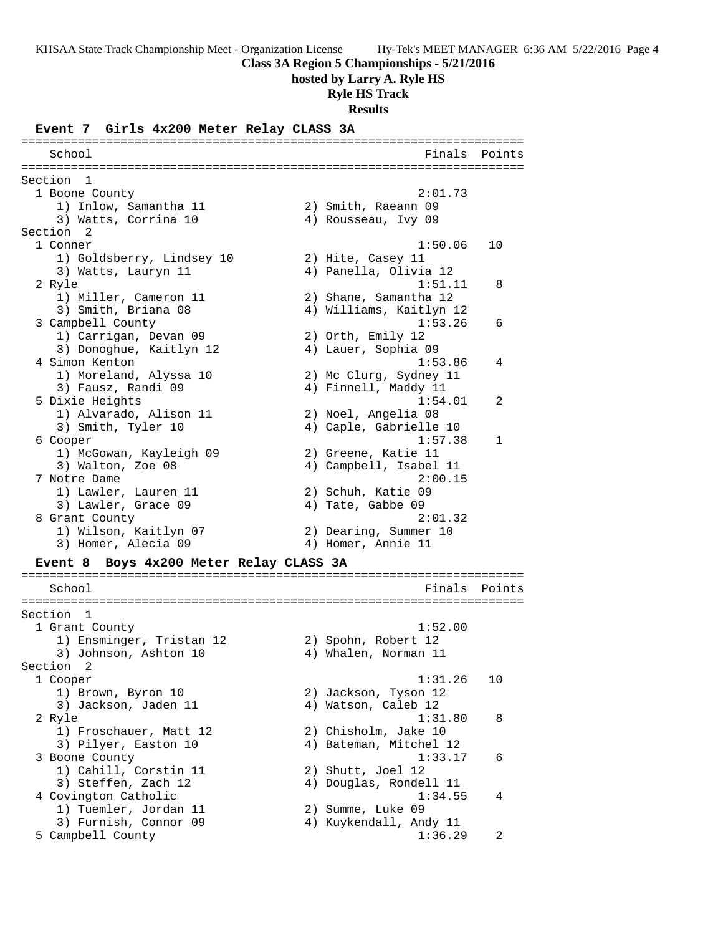**Class 3A Region 5 Championships - 5/21/2016**

**hosted by Larry A. Ryle HS**

**Ryle HS Track**

**Results**

#### **Event 7 Girls 4x200 Meter Relay CLASS 3A**

======================================================================= School **Finals Points** ======================================================================= Section 1<br>1 Boone County 1 Boone County 2:01.73 1) Inlow, Samantha 11 2) Smith, Raeann 09 3) Watts, Corrina 10 (4) Rousseau, Ivy 09 Section 2 1 Conner 1:50.06 10 1) Goldsberry, Lindsey 10 2) Hite, Casey 11 3) Watts, Lauryn 11 4) Panella, Olivia 12 2 Ryle 1:51.11 8 1) Miller, Cameron 11 2) Shane, Samantha 12 3) Smith, Briana 08 4) Williams, Kaitlyn 12 3 Campbell County 1:53.26 6 1) Carrigan, Devan 09 2) Orth, Emily 12 3) Donoghue, Kaitlyn 12 4) Lauer, Sophia 09 4 Simon Kenton 1:53.86 4 1) Moreland, Alyssa 10 2) Mc Clurg, Sydney 11 3) Fausz, Randi 09 (4) Finnell, Maddy 11 5 Dixie Heights 1:54.01 2 1) Alvarado, Alison 11 2) Noel, Angelia 08 3) Smith, Tyler 10 4) Caple, Gabrielle 10 6 Cooper 1:57.38 1 1) McGowan, Kayleigh 09 2) Greene, Katie 11 3) Walton, Zoe 08 4) Campbell, Isabel 11 7 Notre Dame 2:00.15 1) Lawler, Lauren 11 2) Schuh, Katie 09 3) Lawler, Grace 09 (4) Tate, Gabbe 09 8 Grant County 2:01.32 1) Wilson, Kaitlyn 07 2) Dearing, Summer 10 3) Homer, Alecia 09 4) Homer, Annie 11 **Event 8 Boys 4x200 Meter Relay CLASS 3A** ======================================================================= School Finals Points ======================================================================= Section 1 1 Grant County 1:52.00 1) Ensminger, Tristan 12 2) Spohn, Robert 12 3) Johnson, Ashton 10  $\hskip10mm$  4) Whalen, Norman 11 Section 2 1 Cooper 1:31.26 10 1) Brown, Byron 10 2) Jackson, Tyson 12 3) Jackson, Jaden 11 (4) Watson, Caleb 12 2 Ryle 1:31.80 8 1) Froschauer, Matt 12 2) Chisholm, Jake 10 3) Pilyer, Easton 10 4) Bateman, Mitchel 12 3 Boone County 1:33.17 6 1) Cahill, Corstin 11 2) Shutt, Joel 12 3) Steffen, Zach 12 4) Douglas, Rondell 11 4 Covington Catholic 1:34.55 4 1) Tuemler, Jordan 11 2) Summe, Luke 09 3) Furnish, Connor 09 4) Kuykendall, Andy 11 5 Campbell County 1:36.29 2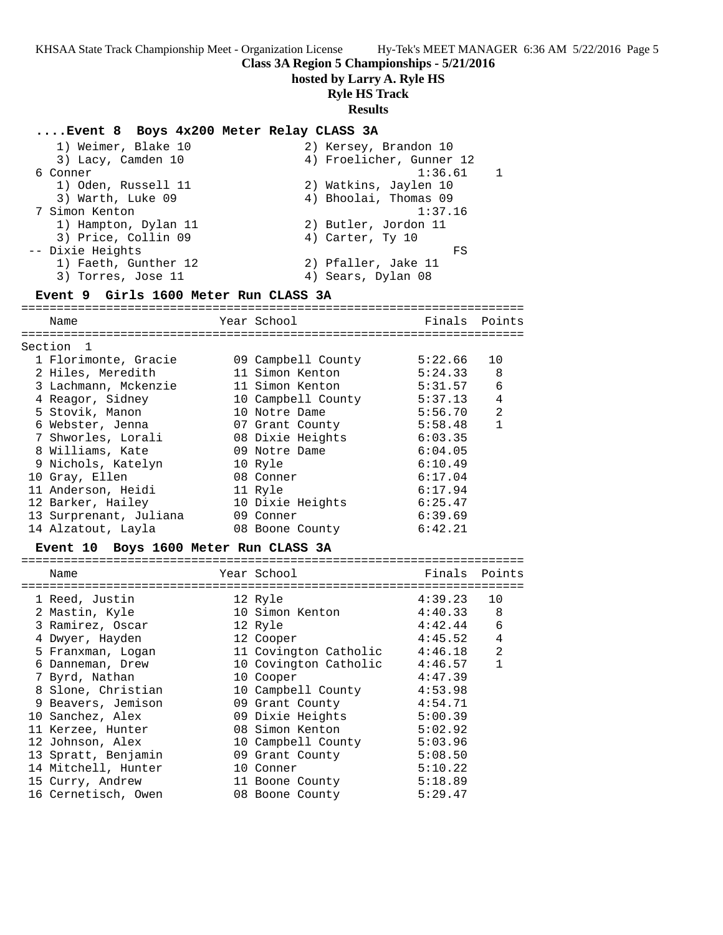KHSAA State Track Championship Meet - Organization License Hy-Tek's MEET MANAGER 6:36 AM 5/22/2016 Page 5 **Class 3A Region 5 Championships - 5/21/2016 hosted by Larry A. Ryle HS Ryle HS Track Results ....Event 8 Boys 4x200 Meter Relay CLASS 3A** 1) Weimer, Blake 10 2) Kersey, Brandon 10 3) Lacy, Camden 10 4) Froelicher, Gunner 12 6 Conner 1:36.61 1 1) Oden, Russell 11 2) Watkins, Jaylen 10 3) Warth, Luke 09 4) Bhoolai, Thomas 09 7 Simon Kenton 1:37.16 1) Hampton, Dylan 11 2) Butler, Jordon 11 3) Price, Collin 09 (4) Carter, Ty 10 -- Dixie Heights FS 1) Faeth, Gunther 12 2) Pfaller, Jake 11 3) Torres, Jose 11 (4) Sears, Dylan 08 **Event 9 Girls 1600 Meter Run CLASS 3A** ======================================================================= Name Year School Finals Points ======================================================================= Section 1 1 Florimonte, Gracie 09 Campbell County 5:22.66 10 2 Hiles, Meredith 11 Simon Kenton 5:24.33 8 3 Lachmann, Mckenzie 11 Simon Kenton 5:31.57 6 4 Reagor, Sidney 10 Campbell County 5:37.13 4 5 Stovik, Manon 10 Notre Dame 5:56.70 2 6 Webster, Jenna 07 Grant County 5:58.48 1 7 Shworles, Lorali 08 Dixie Heights 6:03.35 8 Williams, Kate 09 Notre Dame 6:04.05 9 Nichols, Katelyn 10 Ryle 6:10.49 10 Gray, Ellen 08 Conner 6:17.04 11 Anderson, Heidi 11 Ryle 6:17.94 12 Barker, Hailey 10 Dixie Heights 6:25.47 13 Surprenant, Juliana 09 Conner 6:39.69 14 Alzatout, Layla 08 Boone County 6:42.21 **Event 10 Boys 1600 Meter Run CLASS 3A** ======================================================================= Name The Year School The Finals Points ======================================================================= 1 Reed, Justin 12 Ryle 4:39.23 10 2 Mastin, Kyle 10 Simon Kenton 4:40.33 8 3 Ramirez, Oscar 12 Ryle 4:42.44 6 4 Dwyer, Hayden 12 Cooper 4:45.52 4 5 Franxman, Logan 11 Covington Catholic 4:46.18 2 6 Danneman, Drew 10 Covington Catholic 4:46.57 1 7 Byrd, Nathan 10 Cooper 4:47.39 8 Slone, Christian 10 Campbell County 4:53.98 9 Beavers, Jemison 09 Grant County 4:54.71 10 Sanchez, Alex 09 Dixie Heights 5:00.39

 11 Kerzee, Hunter 08 Simon Kenton 5:02.92 12 Johnson, Alex 10 Campbell County 5:03.96 13 Spratt, Benjamin 09 Grant County 5:08.50 14 Mitchell, Hunter 10 Conner 5:10.22 15 Curry, Andrew 11 Boone County 5:18.89 16 Cernetisch, Owen 08 Boone County 5:29.47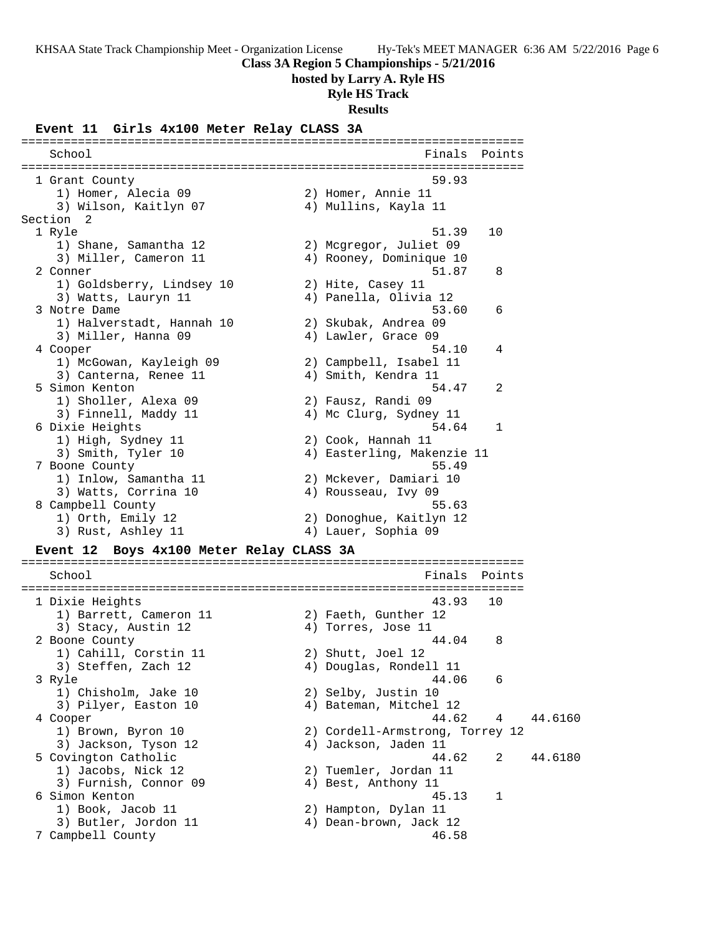**Class 3A Region 5 Championships - 5/21/2016**

**hosted by Larry A. Ryle HS**

### **Ryle HS Track**

**Results**

#### **Event 11 Girls 4x100 Meter Relay CLASS 3A**

======================================================================= School **Finals** Points ======================================================================= 1 Grant County 59.93 1) Homer, Alecia 09 2) Homer, Annie 11 3) Wilson, Kaitlyn 07 4) Mullins, Kayla 11 Section 2 1 Ryle 51.39 10 1) Shane, Samantha 12 2) Mcgregor, Juliet 09 3) Miller, Cameron 11 4) Rooney, Dominique 10 2 Conner 51.87 8 1) Goldsberry, Lindsey 10 2) Hite, Casey 11 3) Watts, Lauryn 11 4) Panella, Olivia 12 3 Notre Dame 53.60 6 1) Halverstadt, Hannah 10 2) Skubak, Andrea 09 3) Miller, Hanna 09 (4) Lawler, Grace 09 4 Cooper 54.10 4 1) McGowan, Kayleigh 09 2) Campbell, Isabel 11 3) Canterna, Renee 11 (4) Amith, Kendra 11 5 Simon Kenton 54.47 2 1) Sholler, Alexa 09 2) Fausz, Randi 09 3) Finnell, Maddy 11 4) Mc Clurg, Sydney 11 6 Dixie Heights 54.64 1 1) High, Sydney 11 2) Cook, Hannah 11 3) Smith, Tyler 10 4) Easterling, Makenzie 11 7 Boone County 55.49 1) Inlow, Samantha 11 2) Mckever, Damiari 10 3) Watts, Corrina 10 (4) Rousseau, Ivy 09 8 Campbell County 55.63 1) Orth, Emily 12 2) Donoghue, Kaitlyn 12 3) Rust, Ashley 11 (4) Lauer, Sophia 09 **Event 12 Boys 4x100 Meter Relay CLASS 3A** ======================================================================= School **Finals Points** ======================================================================= 1 Dixie Heights 43.93 10 1) Barrett, Cameron 11 2) Faeth, Gunther 12 3) Stacy, Austin 12 (4) Torres, Jose 11 2 Boone County 44.04 8 1) Cahill, Corstin 11 2) Shutt, Joel 12 3) Steffen, Zach 12 4) Douglas, Rondell 11 3 Ryle 44.06 6 1) Chisholm, Jake 10 2) Selby, Justin 10 3) Pilyer, Easton 10 4) Bateman, Mitchel 12 44.6160 4 Cooper 44.6160 1) Brown, Byron 10 2) Cordell-Armstrong, Torrey 12 3) Jackson, Tyson 12 4) Jackson, Jaden 11 5 Covington Catholic 44.62 2 44.6180 1) Jacobs, Nick 12 2) Tuemler, Jordan 11 3) Furnish, Connor 09 4) Best, Anthony 11 6 Simon Kenton 45.13 1 1) Book, Jacob 11 2) Hampton, Dylan 11 3) Butler, Jordon 11 4) Dean-brown, Jack 12 7 Campbell County 46.58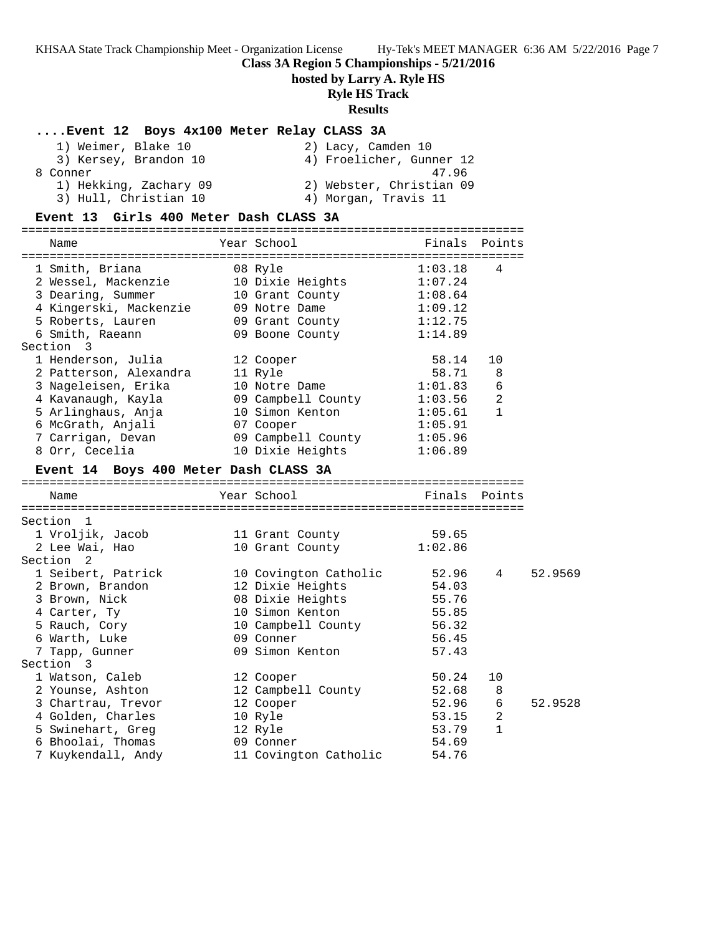KHSAA State Track Championship Meet - Organization License Hy-Tek's MEET MANAGER 6:36 AM 5/22/2016 Page 7 **Class 3A Region 5 Championships - 5/21/2016 hosted by Larry A. Ryle HS Ryle HS Track Results ....Event 12 Boys 4x100 Meter Relay CLASS 3A** 1) Weimer, Blake 10 2) Lacy, Camden 10 3) Kersey, Brandon 10 4) Froelicher, Gunner 12 8 Conner 47.96 1) Hekking, Zachary 09 2) Webster, Christian 09 3) Hull, Christian 10  $\hskip1cm$  4) Morgan, Travis 11 **Event 13 Girls 400 Meter Dash CLASS 3A** ======================================================================= Name The Year School Team Points Points ======================================================================= 1 Smith, Briana 08 Ryle 1:03.18 4 2 Wessel, Mackenzie 10 Dixie Heights 1:07.24 3 Dearing, Summer 10 Grant County 1:08.64 4 Kingerski, Mackenzie 09 Notre Dame 1:09.12 5 Roberts, Lauren 09 Grant County 1:12.75 6 Smith, Raeann 09 Boone County 1:14.89 Section 3 1 Henderson, Julia 12 Cooper 58.14 10 2 Patterson, Alexandra 11 Ryle 58.71 8 3 Nageleisen, Erika 10 Notre Dame 1:01.83 6 4 Kavanaugh, Kayla 09 Campbell County 1:03.56 2 5 Arlinghaus, Anja 10 Simon Kenton 1:05.61 1 6 McGrath, Anjali 07 Cooper 1:05.91 7 Carrigan, Devan 09 Campbell County 1:05.96 8 Orr, Cecelia 10 Dixie Heights 1:06.89 **Event 14 Boys 400 Meter Dash CLASS 3A** ======================================================================= Name Year School Finals Points ======================================================================= Section 1 1 Vroljik, Jacob 11 Grant County 59.65 2 Lee Wai, Hao 10 Grant County 1:02.86 Section 2 1 Seibert, Patrick 10 Covington Catholic 52.96 4 52.9569 2 Brown, Brandon 12 Dixie Heights 54.03 3 Brown, Nick 08 Dixie Heights 55.76 4 Carter, Ty 10 Simon Kenton 55.85 5 Rauch, Cory 10 Campbell County 56.32 6 Warth, Luke 09 Conner 56.45 7 Tapp, Gunner 09 Simon Kenton 57.43 Section 3 1 Watson, Caleb 12 Cooper 50.24 10 2 Younse, Ashton 12 Campbell County 52.68 8 3 Chartrau, Trevor 12 Cooper 52.96 6 52.9528 4 Golden, Charles 10 Ryle 10 Ryle 53.15 2 5 Swinehart, Greg 12 Ryle 53.79 1 6 Bhoolai, Thomas 09 Conner 54.69 7 Kuykendall, Andy 11 Covington Catholic 54.76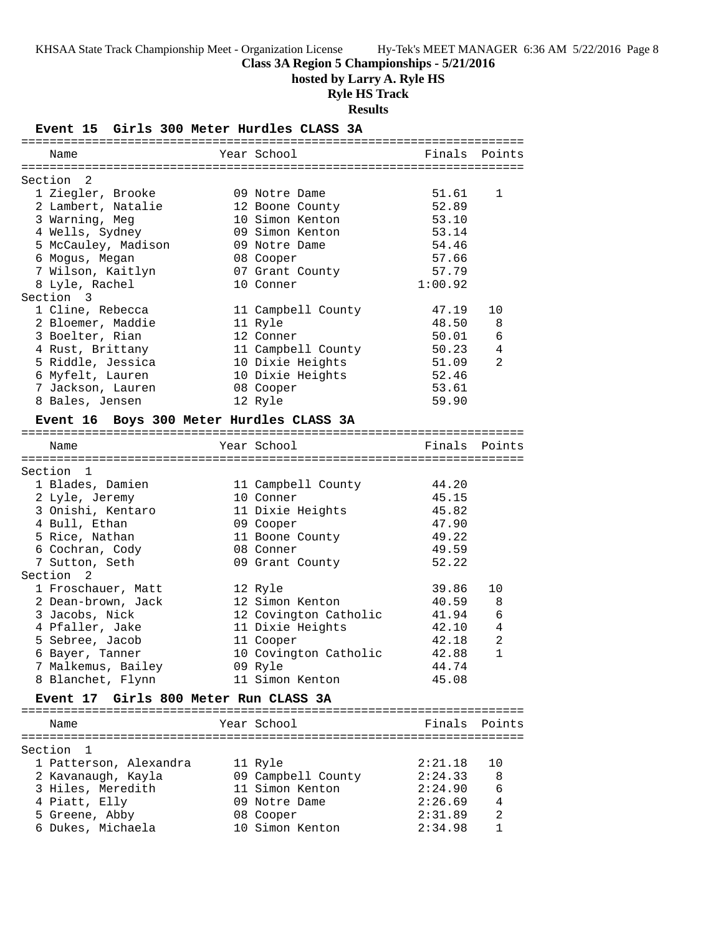# **Class 3A Region 5 Championships - 5/21/2016**

**hosted by Larry A. Ryle HS**

# **Ryle HS Track**

**Results**

### **Event 15 Girls 300 Meter Hurdles CLASS 3A**

| Name                                     | Year School           | Finals  | Points         |
|------------------------------------------|-----------------------|---------|----------------|
|                                          |                       |         |                |
| Section 2                                |                       |         |                |
| 1 Ziegler, Brooke                        | 09 Notre Dame         | 51.61   | 1              |
| 2 Lambert, Natalie                       | 12 Boone County       | 52.89   |                |
| 3 Warning, Meg                           | 10 Simon Kenton       | 53.10   |                |
| 4 Wells, Sydney                          | 09 Simon Kenton       | 53.14   |                |
| 5 McCauley, Madison                      | 09 Notre Dame         | 54.46   |                |
| 6 Mogus, Megan                           | 08 Cooper             | 57.66   |                |
| 7 Wilson, Kaitlyn                        | 07 Grant County       | 57.79   |                |
| 8 Lyle, Rachel                           | 10 Conner             | 1:00.92 |                |
| Section 3                                |                       |         |                |
| 1 Cline, Rebecca                         | 11 Campbell County    | 47.19   | 10             |
| 2 Bloemer, Maddie                        | 11 Ryle               | 48.50   | 8              |
| 3 Boelter, Rian                          | 12 Conner             | 50.01   | 6              |
| 4 Rust, Brittany                         | 11 Campbell County    | 50.23   | 4              |
| 5 Riddle, Jessica                        | 10 Dixie Heights      | 51.09   | 2              |
| 6 Myfelt, Lauren                         |                       | 52.46   |                |
|                                          | 10 Dixie Heights      |         |                |
| 7 Jackson, Lauren                        | 08 Cooper             | 53.61   |                |
| 8 Bales, Jensen                          | 12 Ryle               | 59.90   |                |
| Event 16 Boys 300 Meter Hurdles CLASS 3A |                       |         |                |
|                                          |                       |         |                |
| Name                                     | Year School           |         | Finals Points  |
|                                          |                       |         |                |
| Section 1                                |                       |         |                |
| 1 Blades, Damien                         | 11 Campbell County    | 44.20   |                |
| 2 Lyle, Jeremy                           | 10 Conner             | 45.15   |                |
| 3 Onishi, Kentaro                        | 11 Dixie Heights      | 45.82   |                |
| 4 Bull, Ethan                            | 09 Cooper             | 47.90   |                |
| 5 Rice, Nathan                           | 11 Boone County       | 49.22   |                |
| 6 Cochran, Cody                          | 08 Conner             | 49.59   |                |
| 7 Sutton, Seth                           | 09 Grant County       | 52.22   |                |
| Section <sub>2</sub>                     |                       |         |                |
| 1 Froschauer, Matt                       | 12 Ryle               | 39.86   | 10             |
| 2 Dean-brown, Jack                       | 12 Simon Kenton       | 40.59   | 8              |
| 3 Jacobs, Nick                           | 12 Covington Catholic | 41.94   | 6              |
| 4 Pfaller, Jake                          | 11 Dixie Heights      | 42.10   | 4              |
| 5 Sebree, Jacob                          |                       | 42.18   | $\overline{a}$ |
|                                          | 11 Cooper             |         | $\mathbf{1}$   |
| 6 Bayer, Tanner                          | 10 Covington Catholic | 42.88   |                |
| 7 Malkemus, Bailey                       | 09 Ryle               | 44.74   |                |
| 8 Blanchet, Flynn                        | 11 Simon Kenton       | 45.08   |                |
| Event 17 Girls 800 Meter Run CLASS 3A    |                       |         |                |
|                                          |                       |         |                |
| Name                                     | Year School           |         | Finals Points  |
|                                          |                       |         |                |
| Section<br>1                             |                       |         |                |
| 1 Patterson, Alexandra                   | 11 Ryle               | 2:21.18 | 10             |
| 2 Kavanaugh, Kayla                       | 09 Campbell County    | 2:24.33 | 8              |
| 3 Hiles, Meredith                        | 11 Simon Kenton       | 2:24.90 | 6              |
| 4 Piatt, Elly                            | 09 Notre Dame         | 2:26.69 | 4              |
| 5 Greene, Abby                           | 08 Cooper             | 2:31.89 | 2              |
| 6 Dukes, Michaela                        | 10 Simon Kenton       | 2:34.98 | 1              |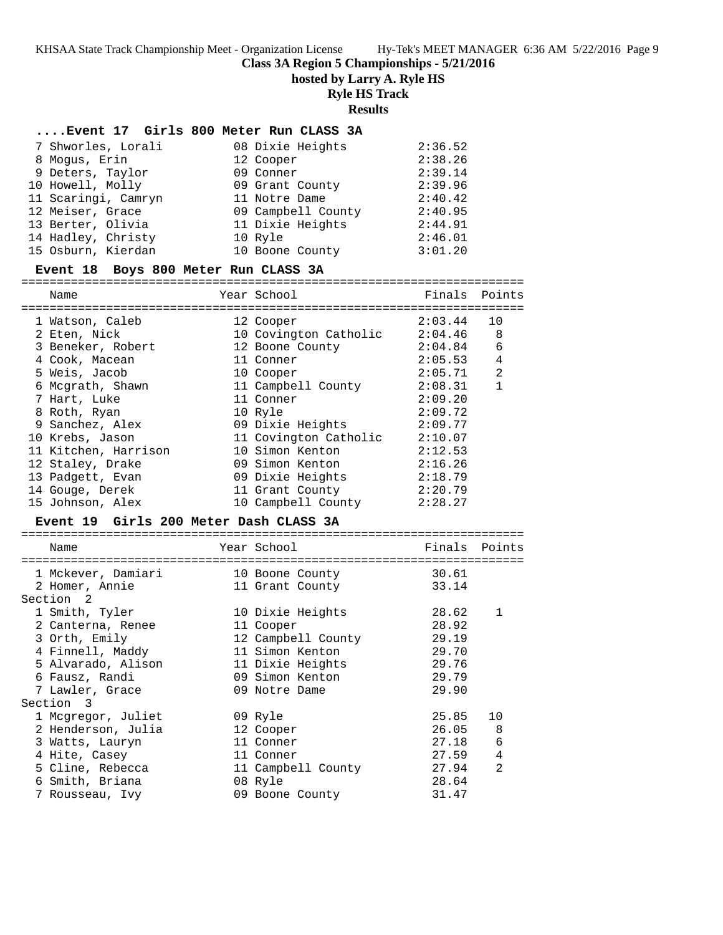**Class 3A Region 5 Championships - 5/21/2016**

**hosted by Larry A. Ryle HS**

#### **Ryle HS Track**

**Results**

#### **....Event 17 Girls 800 Meter Run CLASS 3A**

| 7 Shworles, Lorali  | 08 Dixie Heights   | 2:36.52 |
|---------------------|--------------------|---------|
| 8 Moqus, Erin       | 12 Cooper          | 2:38.26 |
| 9 Deters, Taylor    | 09 Conner          | 2:39.14 |
| 10 Howell, Molly    | 09 Grant County    | 2:39.96 |
| 11 Scaringi, Camryn | 11 Notre Dame      | 2:40.42 |
| 12 Meiser, Grace    | 09 Campbell County | 2:40.95 |
| 13 Berter, Olivia   | 11 Dixie Heights   | 2:44.91 |
| 14 Hadley, Christy  | 10 Ryle            | 2:46.01 |
| 15 Osburn, Kierdan  | 10 Boone County    | 3:01.20 |

#### **Event 18 Boys 800 Meter Run CLASS 3A**

======================================================================= Name The Year School The Finals Points ======================================================================= 1 Watson, Caleb 12 Cooper 2:03.44 10 2 Eten, Nick 10 Covington Catholic 2:04.46 8 3 Beneker, Robert 12 Boone County 2:04.84 6 4 Cook, Macean 11 Conner 2:05.53 4 5 Weis, Jacob 10 Cooper 2:05.71 2 6 Mcgrath, Shawn 11 Campbell County 2:08.31 1 7 Hart, Luke 11 Conner 2:09.20 8 Roth, Ryan 10 Ryle 2:09.72 9 Sanchez, Alex 09 Dixie Heights 2:09.77 10 Krebs, Jason 11 Covington Catholic 2:10.07 11 Kitchen, Harrison 10 Simon Kenton 2:12.53 12 Staley, Drake 09 Simon Kenton 2:16.26 13 Padgett, Evan 09 Dixie Heights 2:18.79 14 Gouge, Derek 11 Grant County 2:20.79 15 Johnson, Alex 10 Campbell County 2:28.27 **Event 19 Girls 200 Meter Dash CLASS 3A** =======================================================================  $\sim$  School

| Name               | Year School        | Finals  | Points         |
|--------------------|--------------------|---------|----------------|
| 1 Mckever, Damiari | 10 Boone County    | 30.61   |                |
| 2 Homer, Annie     | 11 Grant County    | 33.14   |                |
| Section 2          |                    |         |                |
| 1 Smith, Tyler     | 10 Dixie Heights   | 28.62   | 1              |
| 2 Canterna, Renee  | 11 Cooper          | 28.92   |                |
| 3 Orth, Emily      | 12 Campbell County | 29.19   |                |
| 4 Finnell, Maddy   | 11 Simon Kenton    | 29.70   |                |
| 5 Alvarado, Alison | 11 Dixie Heights   | 29.76   |                |
| 6 Fausz, Randi     | 09 Simon Kenton    | 29.79   |                |
| 7 Lawler, Grace    | 09 Notre Dame      | 29.90   |                |
| Section 3          |                    |         |                |
| 1 Mcgregor, Juliet | 09 Ryle            | 25.85   | 10             |
| 2 Henderson, Julia | 12 Cooper          | 26.05 8 |                |
| 3 Watts, Lauryn    | 11 Conner          | 27.18 6 |                |
| 4 Hite, Casey      | 11 Conner          | 27.59   | $\overline{4}$ |
| 5 Cline, Rebecca   | 11 Campbell County | 27.94   | 2              |
| 6 Smith, Briana    | 08 Ryle            | 28.64   |                |
| 7 Rousseau, Ivy    | 09 Boone County    | 31.47   |                |
|                    |                    |         |                |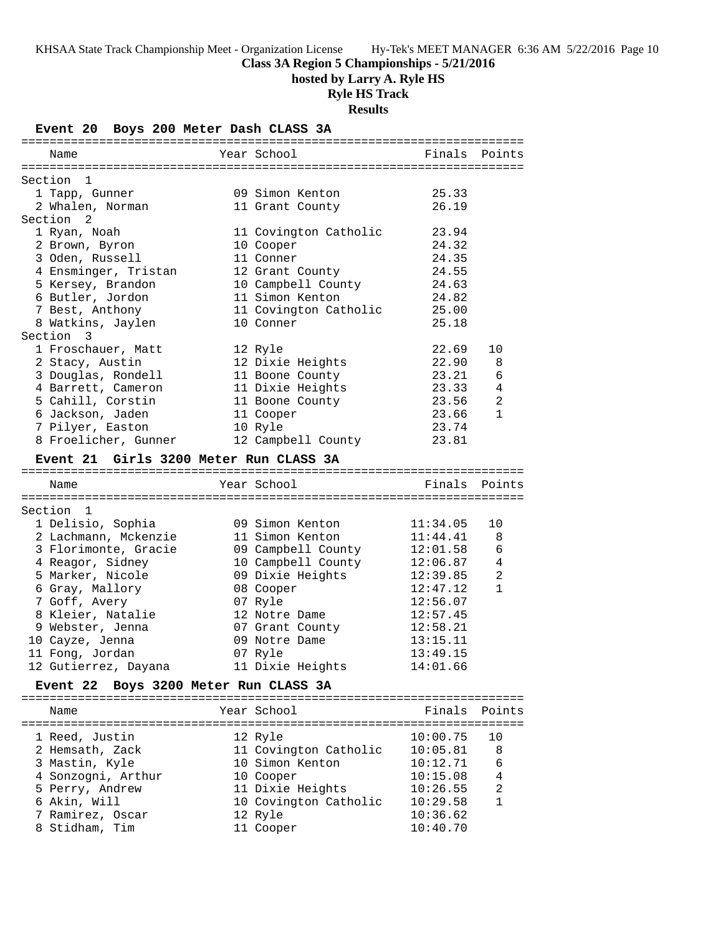### **Class 3A Region 5 Championships - 5/21/2016**

**hosted by Larry A. Ryle HS**

# **Ryle HS Track**

**Results**

| Event 20 Boys 200 Meter Dash CLASS 3A           |                       |                      |               |
|-------------------------------------------------|-----------------------|----------------------|---------------|
| Name                                            | Year School           | Finals               | Points        |
| Section 1                                       |                       |                      |               |
| 1 Tapp, Gunner                                  | 09 Simon Kenton       | 25.33                |               |
| 2 Whalen, Norman                                | 11 Grant County       | 26.19                |               |
| Section 2                                       |                       |                      |               |
| 1 Ryan, Noah                                    | 11 Covington Catholic | 23.94                |               |
| 2 Brown, Byron                                  | 10 Cooper             | 24.32                |               |
| 3 Oden, Russell                                 | 11 Conner             | 24.35                |               |
| 4 Ensminger, Tristan                            | 12 Grant County       | 24.55                |               |
| 5 Kersey, Brandon                               | 10 Campbell County    | 24.63                |               |
| 6 Butler, Jordon                                | 11 Simon Kenton       | 24.82                |               |
| 7 Best, Anthony                                 | 11 Covington Catholic | 25.00                |               |
| 8 Watkins, Jaylen                               | 10 Conner             | 25.18                |               |
| Section 3                                       |                       |                      |               |
| 1 Froschauer, Matt                              | 12 Ryle               | 22.69                | 10            |
| 2 Stacy, Austin                                 | 12 Dixie Heights      | 22.90                | 8             |
| 3 Douglas, Rondell                              | 11 Boone County       | 23.21                | 6             |
| 4 Barrett, Cameron                              | 11 Dixie Heights      | 23.33                | 4             |
| 5 Cahill, Corstin                               | 11 Boone County       | 23.56                | 2             |
| 6 Jackson, Jaden                                | 11 Cooper             | 23.66                | $\mathbf{1}$  |
| 7 Pilyer, Easton                                | 10 Ryle               | 23.74                |               |
| 8 Froelicher, Gunner                            | 12 Campbell County    | 23.81                |               |
| Event 21 Girls 3200 Meter Run CLASS 3A          |                       |                      |               |
| Name                                            | Year School           |                      | Finals Points |
|                                                 |                       |                      |               |
| Section 1                                       |                       |                      |               |
| 1 Delisio, Sophia                               | 09 Simon Kenton       | 11:34.05             | 10            |
| 2 Lachmann, Mckenzie                            | 11 Simon Kenton       | 11:44.41             | 8             |
| 3 Florimonte, Gracie                            | 09 Campbell County    | 12:01.58             | 6             |
| 4 Reagor, Sidney<br>5 Marker, Nicole            | 10 Campbell County    | 12:06.87             | 4<br>2        |
| 6 Gray, Mallory                                 | 09 Dixie Heights      | 12:39.85<br>12:47.12 | $\mathbf{1}$  |
| 7 Goff, Avery                                   | 08 Cooper<br>07 Ryle  | 12:56.07             |               |
| 8 Kleier, Natalie                               | 12 Notre Dame         | 12:57.45             |               |
| 9 Webster, Jenna                                | 07 Grant County       | 12:58.21             |               |
| 10 Cayze, Jenna                                 | 09 Notre Dame         | 13:15.11             |               |
| 11 Fong, Jordan                                 | 07 Ryle               | 13:49.15             |               |
| 12 Gutierrez, Dayana                            | 11 Dixie Heights      | 14:01.66             |               |
| Boys 3200 Meter Run CLASS 3A<br><b>Event 22</b> |                       |                      |               |
|                                                 |                       |                      |               |
| Name                                            | Year School           | Finals               | Points        |
| 1 Reed, Justin                                  | 12 Ryle               | 10:00.75             | 10            |
| 2 Hemsath, Zack                                 | 11 Covington Catholic | 10:05.81             | 8             |
| 3 Mastin, Kyle                                  | 10 Simon Kenton       | 10:12.71             | 6             |
| 4 Sonzogni, Arthur                              | 10 Cooper             | 10:15.08             | 4             |
| 5 Perry, Andrew                                 | 11 Dixie Heights      | 10:26.55             | 2             |
| 6 Akin, Will                                    | 10 Covington Catholic | 10:29.58             | $\mathbf{1}$  |
| 7 Ramirez, Oscar                                | 12 Ryle               | 10:36.62             |               |
| 8 Stidham, Tim                                  | 11 Cooper             | 10:40.70             |               |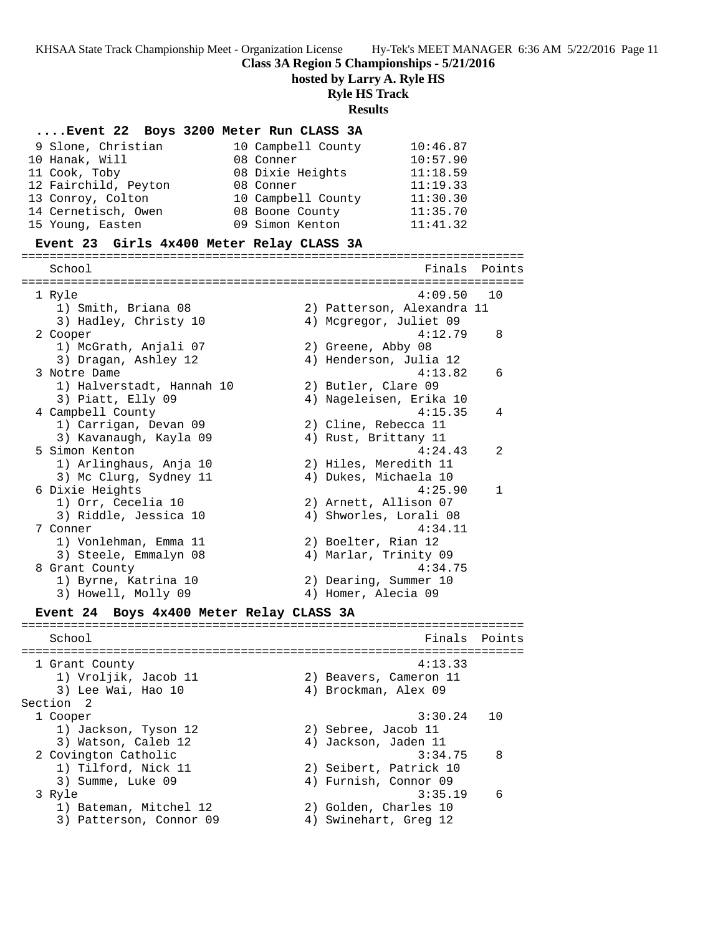**Class 3A Region 5 Championships - 5/21/2016**

**hosted by Larry A. Ryle HS**

**Ryle HS Track**

**Results**

#### **....Event 22 Boys 3200 Meter Run CLASS 3A**

| 9 Slone, Christian   | 10 Campbell County | 10:46.87 |
|----------------------|--------------------|----------|
| 10 Hanak, Will       | 08 Conner          | 10:57.90 |
| 11 Cook, Toby        | 08 Dixie Heights   | 11:18.59 |
| 12 Fairchild, Peyton | 08 Conner          | 11:19.33 |
| 13 Conroy, Colton    | 10 Campbell County | 11:30.30 |
| 14 Cernetisch, Owen  | 08 Boone County    | 11:35.70 |
| 15 Young, Easten     | 09 Simon Kenton    | 11:41.32 |

#### **Event 23 Girls 4x400 Meter Relay CLASS 3A**

======================================================================= School **Finals** Points **Points** ======================================================================= 1 Ryle 4:09.50 10 1) Smith, Briana 08 2) Patterson, Alexandra 11 3) Hadley, Christy 10 4) Mcgregor, Juliet 09 2 Cooper 4:12.79 8 1) McGrath, Anjali 07 2) Greene, Abby 08 3) Dragan, Ashley 12 4) Henderson, Julia 12 3 Notre Dame 4:13.82 6 1) Halverstadt, Hannah 10 2) Butler, Clare 09 3) Piatt, Elly 09 4) Nageleisen, Erika 10 4 Campbell County 4:15.35 4 1) Carrigan, Devan 09 2) Cline, Rebecca 11 3) Kavanaugh, Kayla 09 4) Rust, Brittany 11 5 Simon Kenton 4:24.43 2 1) Arlinghaus, Anja 10 2) Hiles, Meredith 11 3) Mc Clurg, Sydney 11 4) Dukes, Michaela 10 6 Dixie Heights 4:25.90 1 1) Orr, Cecelia 10 2) Arnett, Allison 07 3) Riddle, Jessica 10 4) Shworles, Lorali 08 7 Conner 4:34.11 1) Vonlehman, Emma 11  $\qquad \qquad$  2) Boelter, Rian 12 3) Steele, Emmalyn 08 4) Marlar, Trinity 09 8 Grant County  $4:34.75$  1) Byrne, Katrina 10 2) Dearing, Summer 10 3) Howell, Molly 09 4) Homer, Alecia 09 **Event 24 Boys 4x400 Meter Relay CLASS 3A** ======================================================================= School **Finals Points** ======================================================================= 1 Grant County 4:13.33 1) Vroljik, Jacob 11 2) Beavers, Cameron 11 3) Lee Wai, Hao 10 4) Brockman, Alex 09 Section 2 1 Cooper 3:30.24 10 1) Jackson, Tyson 12 2) Sebree, Jacob 11 3) Watson, Caleb 12 (a) 4) Jackson, Jaden 11 2 Covington Catholic 3:34.75 8 1) Tilford, Nick 11 2) Seibert, Patrick 10 3) Summe, Luke 09 4) Furnish, Connor 09

3 Ryle 3:35.19 6

- 1) Bateman, Mitchel 12 2) Golden, Charles 10
- 3) Patterson, Connor 09 4) Swinehart, Greg 12